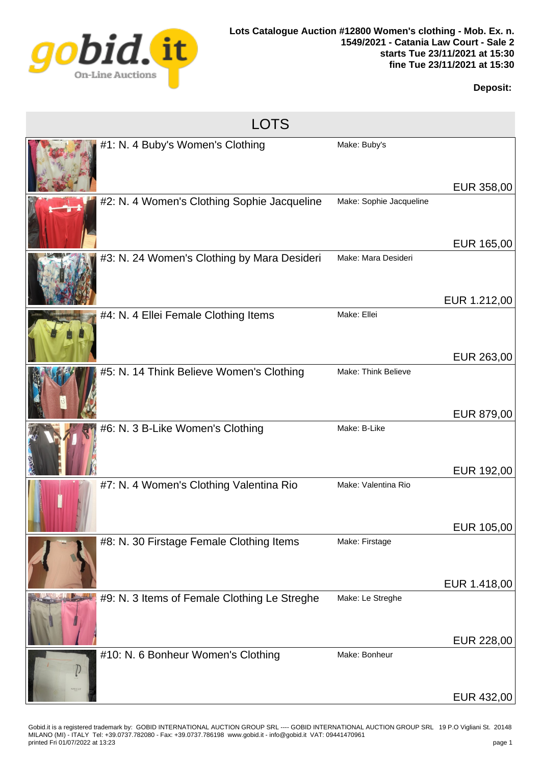

## **Deposit:**

| <b>LOTS</b> |                                              |                         |                          |  |  |
|-------------|----------------------------------------------|-------------------------|--------------------------|--|--|
|             | #1: N. 4 Buby's Women's Clothing             | Make: Buby's            | EUR 358,00               |  |  |
|             | #2: N. 4 Women's Clothing Sophie Jacqueline  | Make: Sophie Jacqueline | EUR 165,00               |  |  |
|             | #3: N. 24 Women's Clothing by Mara Desideri  | Make: Mara Desideri     |                          |  |  |
|             | #4: N. 4 Ellei Female Clothing Items         | Make: Ellei             | EUR 1.212,00             |  |  |
|             | #5: N. 14 Think Believe Women's Clothing     | Make: Think Believe     | EUR 263,00<br>EUR 879,00 |  |  |
|             | #6: N. 3 B-Like Women's Clothing             | Make: B-Like            | EUR 192,00               |  |  |
|             | #7: N. 4 Women's Clothing Valentina Rio      | Make: Valentina Rio     | EUR 105,00               |  |  |
|             | #8: N. 30 Firstage Female Clothing Items     | Make: Firstage          | EUR 1.418,00             |  |  |
|             | #9: N. 3 Items of Female Clothing Le Streghe | Make: Le Streghe        | EUR 228,00               |  |  |
|             | #10: N. 6 Bonheur Women's Clothing           | Make: Bonheur           | EUR 432,00               |  |  |